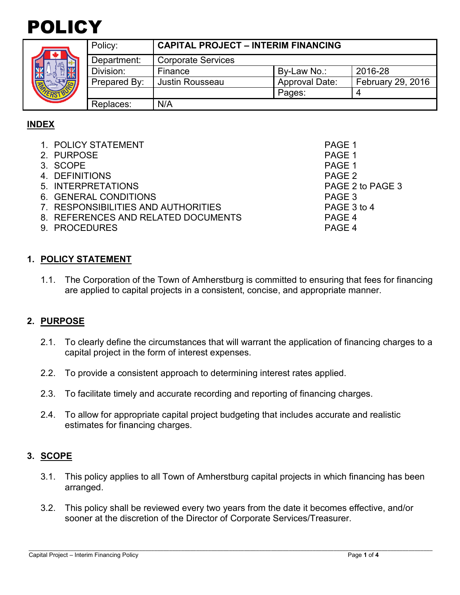



|  | Policy:      | <b>CAPITAL PROJECT - INTERIM FINANCING</b> |                       |                          |
|--|--------------|--------------------------------------------|-----------------------|--------------------------|
|  | Department:  | <b>Corporate Services</b>                  |                       |                          |
|  | Division:    | Finance                                    | By-Law No.:           | 2016-28                  |
|  | Prepared By: | <b>Justin Rousseau</b>                     | <b>Approval Date:</b> | <b>February 29, 2016</b> |
|  |              |                                            | Pages:                | 4                        |
|  | Replaces:    | N/A                                        |                       |                          |

# **INDEX**

| 1. POLICY STATEMENT                 | PAGE 1           |
|-------------------------------------|------------------|
| 2. PURPOSE                          | PAGE 1           |
| 3. SCOPE                            | PAGE 1           |
| 4. DEFINITIONS                      | PAGE 2           |
| 5. INTERPRETATIONS                  | PAGE 2 to PAGE 3 |
| 6. GENERAL CONDITIONS               | PAGE 3           |
| 7. RESPONSIBILITIES AND AUTHORITIES | PAGE 3 to 4      |
| 8. REFERENCES AND RELATED DOCUMENTS | PAGE 4           |
| 9. PROCEDURES                       | PAGE 4           |
|                                     |                  |

# **1. POLICY STATEMENT**

1.1. The Corporation of the Town of Amherstburg is committed to ensuring that fees for financing are applied to capital projects in a consistent, concise, and appropriate manner.

### **2. PURPOSE**

- 2.1. To clearly define the circumstances that will warrant the application of financing charges to a capital project in the form of interest expenses.
- 2.2. To provide a consistent approach to determining interest rates applied.
- 2.3. To facilitate timely and accurate recording and reporting of financing charges.
- 2.4. To allow for appropriate capital project budgeting that includes accurate and realistic estimates for financing charges.

### **3. SCOPE**

- 3.1. This policy applies to all Town of Amherstburg capital projects in which financing has been arranged.
- 3.2. This policy shall be reviewed every two years from the date it becomes effective, and/or sooner at the discretion of the Director of Corporate Services/Treasurer.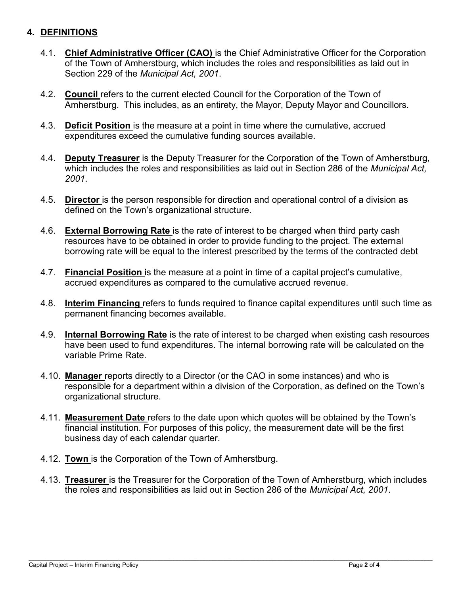# **4. DEFINITIONS**

- 4.1. **Chief Administrative Officer (CAO)** is the Chief Administrative Officer for the Corporation of the Town of Amherstburg, which includes the roles and responsibilities as laid out in Section 229 of the *Municipal Act, 2001*.
- 4.2. **Council** refers to the current elected Council for the Corporation of the Town of Amherstburg. This includes, as an entirety, the Mayor, Deputy Mayor and Councillors.
- 4.3. **Deficit Position** is the measure at a point in time where the cumulative, accrued expenditures exceed the cumulative funding sources available.
- 4.4. **Deputy Treasurer** is the Deputy Treasurer for the Corporation of the Town of Amherstburg, which includes the roles and responsibilities as laid out in Section 286 of the *Municipal Act, 2001*.
- 4.5. **Director** is the person responsible for direction and operational control of a division as defined on the Town's organizational structure.
- 4.6. **External Borrowing Rate** is the rate of interest to be charged when third party cash resources have to be obtained in order to provide funding to the project. The external borrowing rate will be equal to the interest prescribed by the terms of the contracted debt
- 4.7. **Financial Position** is the measure at a point in time of a capital project's cumulative, accrued expenditures as compared to the cumulative accrued revenue.
- 4.8. **Interim Financing** refers to funds required to finance capital expenditures until such time as permanent financing becomes available.
- 4.9. **Internal Borrowing Rate** is the rate of interest to be charged when existing cash resources have been used to fund expenditures. The internal borrowing rate will be calculated on the variable Prime Rate.
- 4.10. **Manager** reports directly to a Director (or the CAO in some instances) and who is responsible for a department within a division of the Corporation, as defined on the Town's organizational structure.
- 4.11. **Measurement Date** refers to the date upon which quotes will be obtained by the Town's financial institution. For purposes of this policy, the measurement date will be the first business day of each calendar quarter.
- 4.12. **Town** is the Corporation of the Town of Amherstburg.
- 4.13. **Treasurer** is the Treasurer for the Corporation of the Town of Amherstburg, which includes the roles and responsibilities as laid out in Section 286 of the *Municipal Act, 2001*.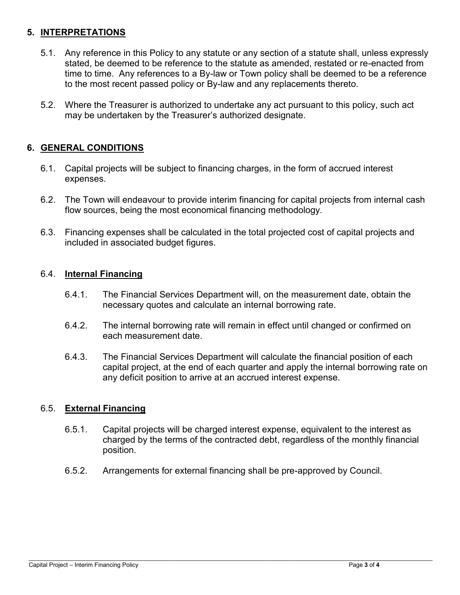# **5. INTERPRETATIONS**

- 5.1. Any reference in this Policy to any statute or any section of a statute shall, unless expressly stated, be deemed to be reference to the statute as amended, restated or re-enacted from time to time. Any references to a By-law or Town policy shall be deemed to be a reference to the most recent passed policy or By-law and any replacements thereto.
- 5.2. Where the Treasurer is authorized to undertake any act pursuant to this policy, such act may be undertaken by the Treasurer's authorized designate.

### **6. GENERAL CONDITIONS**

- 6.1. Capital projects will be subject to financing charges, in the form of accrued interest expenses.
- 6.2. The Town will endeavour to provide interim financing for capital projects from internal cash flow sources, being the most economical financing methodology.
- 6.3. Financing expenses shall be calculated in the total projected cost of capital projects and included in associated budget figures.

### 6.4. **Internal Financing**

- 6.4.1. The Financial Services Department will, on the measurement date, obtain the necessary quotes and calculate an internal borrowing rate.
- 6.4.2. The internal borrowing rate will remain in effect until changed or confirmed on each measurement date.
- 6.4.3. The Financial Services Department will calculate the financial position of each capital project, at the end of each quarter and apply the internal borrowing rate on any deficit position to arrive at an accrued interest expense.

### 6.5. **External Financing**

- 6.5.1. Capital projects will be charged interest expense, equivalent to the interest as charged by the terms of the contracted debt, regardless of the monthly financial position.
- 6.5.2. Arrangements for external financing shall be pre-approved by Council.